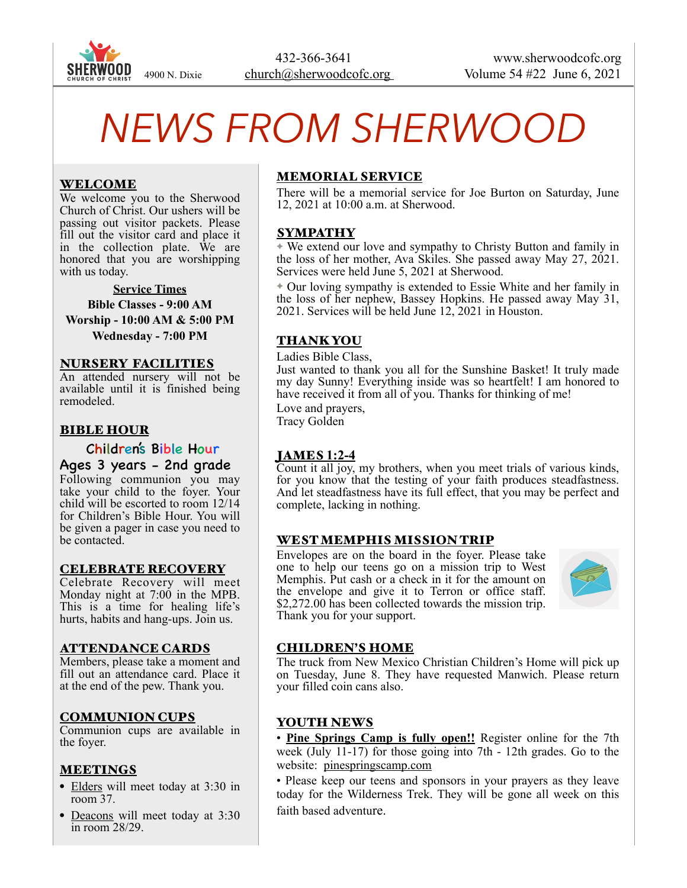

# *NEWS FROM SHERWOOD*

## WELCOME

We welcome you to the Sherwood Church of Christ. Our ushers will be passing out visitor packets. Please fill out the visitor card and place it in the collection plate. We are honored that you are worshipping with us today.

#### **Service Times**

**Bible Classes - 9:00 AM** 

**Worship - 10:00 AM & 5:00 PM Wednesday - 7:00 PM** 

#### NURSERY FACILITIES

An attended nursery will not be available until it is finished being remodeled.

### BIBLE HOUR

### Children's Bible Hour

Ages 3 years - 2nd grade Following communion you may take your child to the foyer. Your child will be escorted to room 12/14 for Children's Bible Hour. You will be given a pager in case you need to be contacted.

#### CELEBRATE RECOVERY

Celebrate Recovery will meet Monday night at 7:00 in the MPB. This is a time for healing life's hurts, habits and hang-ups. Join us.

#### ATTENDANCE CARDS

Members, please take a moment and fill out an attendance card. Place it at the end of the pew. Thank you.

## COMMUNION CUPS

Communion cups are available in the foyer.

#### **MEETINGS**

- Elders will meet today at 3:30 in room 37.
- Deacons will meet today at 3:30 in room 28/29.

## MEMORIAL SERVICE

There will be a memorial service for Joe Burton on Saturday, June 12, 2021 at 10:00 a.m. at Sherwood.

#### SYMPATHY

✦ We extend our love and sympathy to Christy Button and family in the loss of her mother, Ava Skiles. She passed away May 27, 2021. Services were held June 5, 2021 at Sherwood.

✦ Our loving sympathy is extended to Essie White and her family in the loss of her nephew, Bassey Hopkins. He passed away May 31, 2021. Services will be held June 12, 2021 in Houston.

## THANK YOU

Ladies Bible Class,

Just wanted to thank you all for the Sunshine Basket! It truly made my day Sunny! Everything inside was so heartfelt! I am honored to have received it from all of you. Thanks for thinking of me!

Love and prayers, Tracy Golden

# JAMES **1:2-4**

Count it all joy, my brothers, when you meet trials of various kinds, for you know that the testing of your faith produces steadfastness. And let steadfastness have its full effect, that you may be perfect and complete, lacking in nothing.

## WEST MEMPHIS MISSION TRIP

Envelopes are on the board in the foyer. Please take one to help our teens go on a mission trip to West Memphis. Put cash or a check in it for the amount on the envelope and give it to Terron or office staff. \$2,272.00 has been collected towards the mission trip. Thank you for your support.



## CHILDREN'S HOME

The truck from New Mexico Christian Children's Home will pick up on Tuesday, June 8. They have requested Manwich. Please return your filled coin cans also.

## YOUTH NEWS

• **Pine Springs Camp is fully open!!** Register online for the 7th week (July 11-17) for those going into 7th - 12th grades. Go to the website: [pinespringscamp.com](http://pinespringscamp.com) 

• Please keep our teens and sponsors in your prayers as they leave today for the Wilderness Trek. They will be gone all week on this faith based adventure.